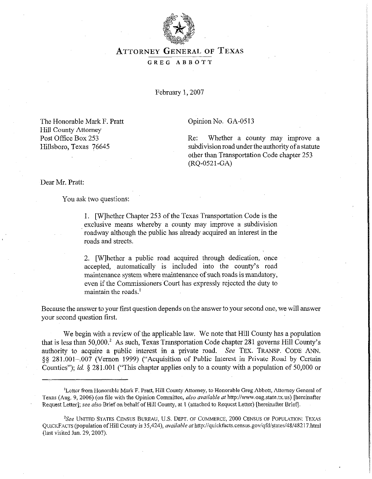

## ATTORNEY GENERAL OF **TEXAS**  GREG ABBOTT

February 1,2007

Opinion No. GA-0513

Re: Whether a county may improve a subdivision road under the authority of a statute other than Transportation Code chapter 253 (RQ-0521-GA)

The Honorable Mark F. Pratt Hill County Attorney Post Office Box 253 Hillsboro, Texas 76645

Dear Mr. Pratt:

You ask two questions:

1. [Wlhether Chapter 253 of the Texas Transportation Code is the exclusive means whereby a county may improve a subdivision roadway although the public has already acquired an interest in the roads and streets.

2. [Wlhether a public road acquired through dedication, once accepted, automatically is included into the county's road maintenance system where maintenance of such roads is mandatory, even if the Commissioners Court has expressly rejected the duty to maintain the roads.<sup>1</sup>

Because the answer to your first question depends on the answer to your second one, we will answer your second question first.

We begin with a review of the applicable law. We note that Hill County has a population that is less than SO,OOO.\* As such, Texas Transportation Code chapter 281 governs Hill County's authority to acquire a public interest in a private road. See TEx. TRANSP. CODE ANN. §§ 281.001-.007 (Vernon 1999) ("Acquisition of Public Interest in Private Road by Certain Counties"); id. 5 281.001 ("This chapter applies only to a county with a population of 50,000 or

<sup>&#</sup>x27;Letter from Honorable Mark F. Pratt, Hill County Attorney, to Honorable Greg Abbott, Attorney General of Texas (Aug. 9, 2006) (on file with the Opinion Committee, also available at http://www.oag.state.tx.us) [hereinafter Request Letter]; see also Brief on behalf of Hill County, at 1 (attached to Request Letter) [hereinafter Brief].

<sup>&</sup>lt;sup>2</sup>See UNITED STATES CENSUS BUREAU, U.S. DEPT. OF COMMERCE, 2000 CENSUS OF POPULATION: TEXAS QUICKFACTS (population of Hill County is 35,424), *available at http://quickfacts.census.gov/qfd/states/48/48217.html* (last visited Jan. 29,2007).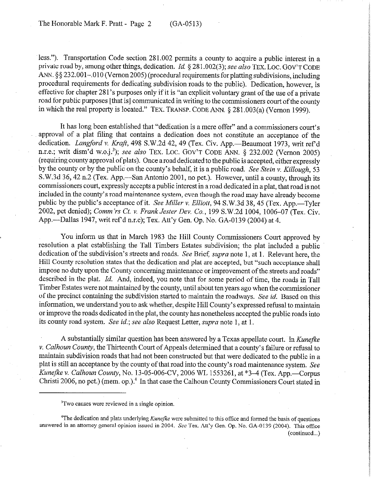less."). Transportation Code section 281.002 permits a county to acquire a public interest in a private road by, among other things, dedication. Id.  $\S 281.002(3)$ ; see also TEX. LOC. GOV'T CODE ANN. \$\$232.001-0.010 (Vernon 2005) (procedural requirements for platting subdivisions, including procedural requirements for dedicating subdivision roads to the public). Dedication, however, is effective for chapter 28 l's purposes only if it is "an explicit voluntary grant of the use of a private road for public purposes [that is] communicated in writing to the commissioners court ofthe county in which the real property is located." TEX. TRANSP. CODE ANN. 5 281.003(a) (Vernon 1999).

It has long been established that "dedication is a mere offer" and a commissioners court's approval of a plat filing that contains a dedication does not constitute an acceptance of the dedication. *Langford v. Kraft*, 498 S.W.2d 42, 49 (Tex. Civ. App.--Beaumont 1973, writ ref'd n.r.e.; writ dism'd w.o.j.<sup>3</sup>); see also TEX. LOC. GOV'T CODE ANN. § 232.002 (Vernon 2005) (requiring county approval of plats). Once aroad dedicated to the public is accepted, either expressly by the county or by the public on the county's behalf, it is a public road. See Stein v. *Killough, 53*  S.W.3d 36, 42 n.2 (Tex. App.—San Antonio 2001, no pet.). However, until a county, through its commissioners court, expressly accepts a public interest in a road dedicated in a plat, that road is not included in the county's road maintenance system, even though the road may have already become public by the public's acceptance of it. *See Miller v. Elliott*, 94 S.W.3d 38, 45 (Tex. App.—Tyler 2002, pet denied); Comm'rs *Ct. v. Frank Jester Dev. Co.,* 199 S.W.2d 1004, 1006-07 (Tex. Civ. App.-Dallas 1947, writ ref d n.r.e); Tex. Att'y Gen. Op. No. GA-0139 (2004) at 4.

You inform us that in March 1983 the Hill County Commissioners Court approved by resolution a plat establishing the Tall Timbers Estates subdivision; the plat included a public dedication of the subdivision's streets and roads. See Brief; *supra* note 1, at 1. Relevant here, the Hill County resolution states that the dedication and plat are accepted, but "such acceptance shall impose no duty upon the County concerning maintenance or improvement of the streets and roads" described in the plat. *Id.* And, indeed, you note that for some period of time, the roads in Tall Timber Estates were not maintained by the county, until about ten years ago when the commissioner of the precinct containing the subdivision started to maintain the roadways. See *id.* Based on this information, we understand you to ask whether, despite Hill County's expressed refusal to maintain or improve the roads dedicated in the plat, the county has nonetheless accepted the public roads into its county road system. See *id.;* see also Request Letter, supra note 1, at 1.

A substantially similar question has been answered by a Texas appellate court. In *Kunejke*  v. *Calhoun County,* the Thirteenth Court of Appeals determined that a county's failure or refusal to maintain subdivision roads that had not been constructed but that were dedicated to the public in a plat is still an acceptance by the county of that road into the county's road maintenance system. See *Kunefke v. Calhoun County, No.* 13-05-006-CV, 2006 WL 1553261, at \*3–4 (Tex. App.—Corpus Christi 2006, no pet.) (mem. op.).<sup>4</sup> In that case the Calhoun County Commissioners Court stated in

"The dedication and plats underlying *Kunefke* were submitted to this office and formed the basis of questions answered in an attorney general opinion issued in 2004. See Tex. Att'y Gen. Op. No. CA-0139 (2004). This ofice (continued...)

<sup>&</sup>lt;sup>3</sup>Two causes were reviewed in a single opinion.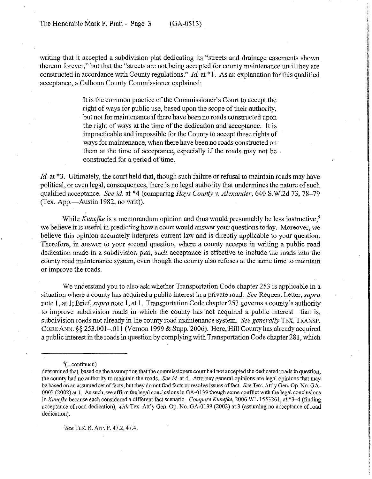writing that it accepted a subdivision plat dedicating its "streets and drainage easements shown thereon forever," but that the "streets are not being accepted for county maintenance until they are constructed in accordance with County regulations." *Id.* at \*1. As an explanation for this qualified acceptance, a Calhoun County Commissioner explained:

> It is the common practice of the Commissioner's Court to accept the right of ways for public use, based upon the scope of their authority, but not for maintenance if there have been no roads constructed upon the right of ways at the time of the dedication and acceptance. It is impracticable and impossible for the County to accept these rights of ways for maintenance, when there have been no roads constructed on them at the time of acceptance, especially if the roads may not be constructed for a period of time.

*Id.* at  $*3$ . Ultimately, the court held that, though such failure or refusal to maintain roads may have political, or even legal, consequences, there is no legal authority that undermines the nature of such qualified acceptance. See *id.* at \*4 (comparing *Hays County v. Alexander, 640* S.W.2d 73,78-79 (Tex. App.—Austin 1982, no writ)).

While *Kunefke* is a memorandum opinion and thus would presumably be less instructive,<sup>5</sup> we believe it is useful in predicting how a court would answer your questions today. Moreover, we believe this opinion accurately interprets current law and is directly applicable to your question. Therefore, in answer to your second question, where a county accepts in writing a public road dedication made in a subdivision plat, such acceptance is effective to include the roads into the county road maintenance system, even though the county also refuses at the same time to maintain or improve the roads.

We understand you to also ask whether Transportation Code chapter 253 is applicable in a situation where a county has acquired a public interest in a private road. See Request Letter, *supra* note 1, at 1; Brief, supra note 1, at 1. Transportation Code chapter 253 governs a county's authority to improve subdivision roads in which the county has not acquired a public interest—that is, subdivision roads not already in the county road maintenance system. See *generally* TEX: TRANSP. CODE ANN. 5s 253.001-,011 (Vernon 1999 & Supp. 2006). Here, Hill County has, already acquired a public interest in the roads in question by complying with Transportation Code chapter 28 1, which

<sup>5</sup>See TEX. R. APP. P. 47.2, 47.4.

 $4$ (...continued)

determined that, based on the assumption that the commissioners court had not accepted the dedicated roads in question, the county had no authority to maintain the roads. See id. at 4. Attorney general opinions are legal opinions that may be based an an assumed set of facts, but they do not find facts or resolve issues of fact. See Tex. Att'y Gen. Op. No. GA-0003 (2002) at 1. As such, we affirm the legal conclusions in GA-O 139 though some conflict with the legal conclusions in *Kunefke* because each considered a different fact scenario. *Compare Kunefke*, 2006 WL 1553261, at \*3–4 (finding acceptance of road dedication), *with* Tex. Att'y Gen. Op. No. GA-0139 (2002) at 3 (assuming no acceptance of road dedication).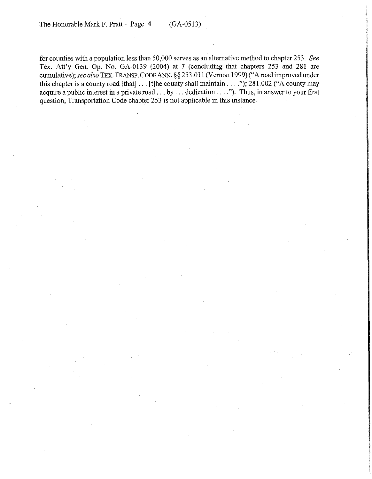for counties with a population less than 50,000 serves as an alternative method to chapter 253. See Tex. Att'y Gen. Op. No. GA-0139 (2004) at 7 (concluding that chapters 253 and 281 are cumulative); see also TEX. TRANSP. CODE ANN. §§ 253.011 (Vernon 1999) ("A road improved under this chapter is a county road [that]  $\ldots$  [t]he county shall maintain  $\ldots$ ."); 281.002 ("A county may acquire a public interest in a private road  $\dots$  by  $\dots$  dedication  $\dots$ ."). Thus, in answer to your first question, Transportation Code chapter 253 is not applicable in this instance.